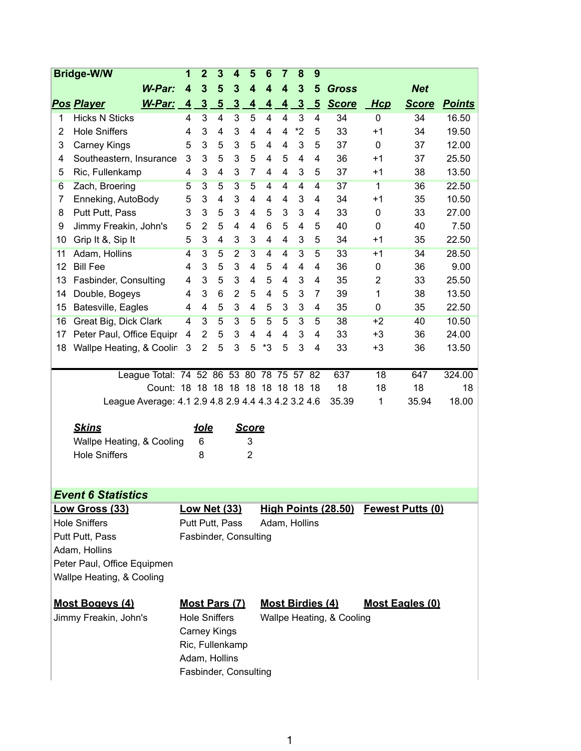|                             | <b>Bridge-W/W</b>                                   | 1                       | $\mathbf{2}$        | 3               | 4                         | 5                         | 6                                                 | $\overline{7}$          | 8              | 9              |                             |                 |                         |               |
|-----------------------------|-----------------------------------------------------|-------------------------|---------------------|-----------------|---------------------------|---------------------------|---------------------------------------------------|-------------------------|----------------|----------------|-----------------------------|-----------------|-------------------------|---------------|
|                             | W-Par:                                              | $\overline{\mathbf{4}}$ | $\mathbf{3}$        | 5               | 3                         | $\overline{\mathbf{4}}$   | 4                                                 | $\overline{\mathbf{4}}$ | $\mathbf{3}$   | 5              | <b>Gross</b>                |                 | <b>Net</b>              |               |
|                             | <b>Pos Player</b><br>W-Par:                         | $\overline{4}$          | $\overline{3}$      | $5\overline{)}$ | $\overline{3}$            | $\overline{4}$            | $\overline{4}$                                    | $\overline{4}$          | $\overline{3}$ | $\overline{5}$ | <b>Score</b>                | <b>Hcp</b>      | <b>Score</b>            | <b>Points</b> |
| 1                           | <b>Hicks N Sticks</b>                               | 4                       | 3                   | 4               | $\ensuremath{\mathsf{3}}$ | 5                         | 4                                                 | $\overline{4}$          | 3              | 4              | 34                          | 0               | 34                      | 16.50         |
| 2                           | <b>Hole Sniffers</b>                                | 4                       | 3                   | 4               | 3                         | 4                         | 4                                                 | $\overline{4}$          | $*2$           | 5              | 33                          | $+1$            | 34                      | 19.50         |
| 3                           | <b>Carney Kings</b>                                 | 5                       | 3                   | 5               | 3                         | 5                         | 4                                                 | $\overline{4}$          | 3              | 5              | 37                          | $\mathbf 0$     | 37                      | 12.00         |
| 4                           | Southeastern, Insurance                             | 3                       | 3                   | 5               | 3                         | 5                         | 4                                                 | 5                       | 4              | 4              | 36                          | $+1$            | 37                      | 25.50         |
| 5                           | Ric, Fullenkamp                                     | 4                       | 3                   | 4               | 3                         | $\overline{7}$            | 4                                                 | $\overline{4}$          | 3              | 5              | 37                          | $+1$            | 38                      | 13.50         |
| 6                           | Zach, Broering                                      | 5                       | $\overline{3}$      | 5               | $\overline{3}$            | $\overline{5}$            | 4                                                 | $\overline{4}$          | $\overline{4}$ | 4              | 37                          | $\overline{1}$  | 36                      | 22.50         |
| 7                           | Enneking, AutoBody                                  | 5                       | 3                   | 4               | 3                         | 4                         | 4                                                 | $\overline{4}$          | 3              | 4              | 34                          | $+1$            | 35                      | 10.50         |
| 8                           | Putt Putt, Pass                                     | 3                       | 3                   | 5               | 3                         | 4                         | 5                                                 | 3                       | 3              | 4              | 33                          | 0               | 33                      | 27.00         |
| 9                           | Jimmy Freakin, John's                               | 5                       | 2                   | 5               | 4                         | 4                         | 6                                                 | 5                       | 4              | 5              | 40                          | 0               | 40                      | 7.50          |
| 10                          | Grip It &, Sip It                                   | 5                       | 3                   | 4               | 3                         | 3                         | 4                                                 | 4                       | 3              | 5              | 34                          | $+1$            | 35                      | 22.50         |
| 11                          | Adam, Hollins                                       | 4                       | $\overline{3}$      | 5               | $\overline{2}$            | $\overline{3}$            | $\overline{4}$                                    | 4                       | $\overline{3}$ | 5              | 33                          | $+1$            | 34                      | 28.50         |
| 12                          | <b>Bill Fee</b>                                     | 4                       | 3                   | 5               | 3                         | $\overline{4}$            | 5                                                 | 4                       | 4              | 4              | 36                          | 0               | 36                      | 9.00          |
| 13                          | Fasbinder, Consulting                               | 4                       | 3                   | 5               | 3                         | 4                         | 5                                                 | 4                       | 3              | 4              | 35                          | $\overline{2}$  | 33                      | 25.50         |
| 14                          | Double, Bogeys                                      | 4                       | 3                   | 6               | $\overline{2}$            | 5                         | 4                                                 | 5                       | 3              | 7              | 39                          | 1               | 38                      | 13.50         |
| 15                          | Batesville, Eagles                                  | 4                       | 4                   | 5               | 3                         | 4                         | 5                                                 | 3                       | 3              | 4              | 35                          | 0               | 35                      | 22.50         |
| 16                          | Great Big, Dick Clark                               | 4                       | $\overline{3}$      | $\overline{5}$  | $\overline{3}$            | 5                         | $\overline{5}$                                    | 5                       | $\overline{3}$ | 5              | 38                          | $+2$            | 40                      | 10.50         |
| 17                          | Peter Paul, Office Equipr                           | 4                       | 2                   | 5               | 3                         | 4                         | $\overline{4}$                                    | $\overline{4}$          | 3              | 4              | 33                          | $+3$            | 36                      | 24.00         |
| 18                          | Wallpe Heating, & Coolin                            | 3                       | $\overline{2}$      | 5               | 3                         | 5                         | *3                                                | 5                       | 3              | 4              | 33                          | $+3$            | 36                      | 13.50         |
|                             |                                                     |                         |                     |                 |                           |                           |                                                   |                         |                |                |                             |                 |                         |               |
|                             | League Total: 74 52 86 53 80 78 75 57 82            |                         |                     |                 |                           |                           |                                                   |                         |                |                | 637                         | $\overline{18}$ | 647                     | 324.00        |
|                             | Count: 18 18 18 18 18 18 18 18 18                   |                         |                     |                 |                           |                           |                                                   |                         |                |                | 18                          | 18              | 18                      | 18            |
|                             | League Average: 4.1 2.9 4.8 2.9 4.4 4.3 4.2 3.2 4.6 |                         |                     |                 |                           |                           |                                                   |                         |                |                | 35.39                       | 1               | 35.94                   | 18.00         |
|                             | <b>Skins</b>                                        |                         | <u>iole</u>         |                 |                           | <b>Score</b>              |                                                   |                         |                |                |                             |                 |                         |               |
|                             | Wallpe Heating, & Cooling                           |                         | 6                   |                 |                           | 3                         |                                                   |                         |                |                |                             |                 |                         |               |
|                             | <b>Hole Sniffers</b>                                |                         | 8                   |                 |                           | $\overline{2}$            |                                                   |                         |                |                |                             |                 |                         |               |
|                             |                                                     |                         |                     |                 |                           |                           |                                                   |                         |                |                |                             |                 |                         |               |
|                             |                                                     |                         |                     |                 |                           |                           |                                                   |                         |                |                |                             |                 |                         |               |
|                             | <b>Event 6 Statistics</b>                           |                         |                     |                 |                           |                           |                                                   |                         |                |                |                             |                 |                         |               |
|                             | Low Gross (33)                                      |                         |                     |                 | <b>Low Net (33)</b>       |                           |                                                   |                         |                |                | <u> High Points (28.50)</u> |                 | <b>Fewest Putts (0)</b> |               |
| <b>Hole Sniffers</b>        |                                                     | Putt Putt, Pass         |                     |                 |                           |                           | Adam, Hollins                                     |                         |                |                |                             |                 |                         |               |
| Putt Putt, Pass             |                                                     |                         |                     |                 | Fasbinder, Consulting     |                           |                                                   |                         |                |                |                             |                 |                         |               |
| Adam, Hollins               |                                                     |                         |                     |                 |                           |                           |                                                   |                         |                |                |                             |                 |                         |               |
| Peter Paul, Office Equipmen |                                                     |                         |                     |                 |                           |                           |                                                   |                         |                |                |                             |                 |                         |               |
| Wallpe Heating, & Cooling   |                                                     |                         |                     |                 |                           |                           |                                                   |                         |                |                |                             |                 |                         |               |
|                             |                                                     |                         |                     |                 |                           |                           |                                                   |                         |                |                |                             |                 |                         |               |
| <u>Most Bogeys (4)</u>      |                                                     | <b>Most Pars (7)</b>    |                     |                 |                           |                           | <b>Most Birdies (4)</b><br><b>Most Eagles (0)</b> |                         |                |                |                             |                 |                         |               |
|                             | Jimmy Freakin, John's                               | <b>Hole Sniffers</b>    |                     |                 |                           | Wallpe Heating, & Cooling |                                                   |                         |                |                |                             |                 |                         |               |
|                             |                                                     |                         | <b>Carney Kings</b> |                 |                           |                           |                                                   |                         |                |                |                             |                 |                         |               |
|                             |                                                     |                         |                     |                 | Ric, Fullenkamp           |                           |                                                   |                         |                |                |                             |                 |                         |               |
|                             |                                                     |                         | Adam, Hollins       |                 |                           |                           |                                                   |                         |                |                |                             |                 |                         |               |
|                             |                                                     |                         |                     |                 | Fasbinder, Consulting     |                           |                                                   |                         |                |                |                             |                 |                         |               |